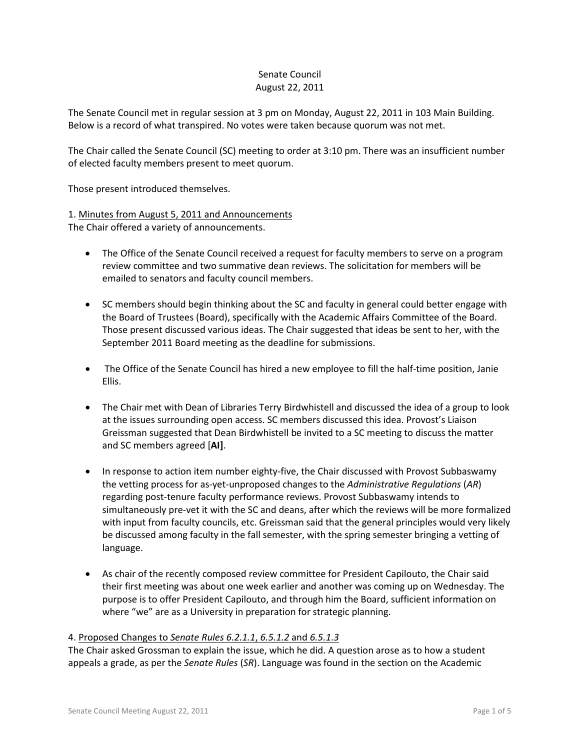## Senate Council August 22, 2011

The Senate Council met in regular session at 3 pm on Monday, August 22, 2011 in 103 Main Building. Below is a record of what transpired. No votes were taken because quorum was not met.

The Chair called the Senate Council (SC) meeting to order at 3:10 pm. There was an insufficient number of elected faculty members present to meet quorum.

Those present introduced themselves.

# 1. Minutes from August 5, 2011 and Announcements

The Chair offered a variety of announcements.

- The Office of the Senate Council received a request for faculty members to serve on a program review committee and two summative dean reviews. The solicitation for members will be emailed to senators and faculty council members.
- SC members should begin thinking about the SC and faculty in general could better engage with the Board of Trustees (Board), specifically with the Academic Affairs Committee of the Board. Those present discussed various ideas. The Chair suggested that ideas be sent to her, with the September 2011 Board meeting as the deadline for submissions.
- The Office of the Senate Council has hired a new employee to fill the half-time position, Janie Ellis.
- The Chair met with Dean of Libraries Terry Birdwhistell and discussed the idea of a group to look at the issues surrounding open access. SC members discussed this idea. Provost's Liaison Greissman suggested that Dean Birdwhistell be invited to a SC meeting to discuss the matter and SC members agreed [**AI]**.
- In response to action item number eighty-five, the Chair discussed with Provost Subbaswamy the vetting process for as-yet-unproposed changes to the *Administrative Regulations* (*AR*) regarding post-tenure faculty performance reviews. Provost Subbaswamy intends to simultaneously pre-vet it with the SC and deans, after which the reviews will be more formalized with input from faculty councils, etc. Greissman said that the general principles would very likely be discussed among faculty in the fall semester, with the spring semester bringing a vetting of language.
- As chair of the recently composed review committee for President Capilouto, the Chair said their first meeting was about one week earlier and another was coming up on Wednesday. The purpose is to offer President Capilouto, and through him the Board, sufficient information on where "we" are as a University in preparation for strategic planning.

## 4. Proposed Changes to *Senate Rules 6.2.1.1*, *6.5.1.2* and *6.5.1.3*

The Chair asked Grossman to explain the issue, which he did. A question arose as to how a student appeals a grade, as per the *Senate Rules* (*SR*). Language was found in the section on the Academic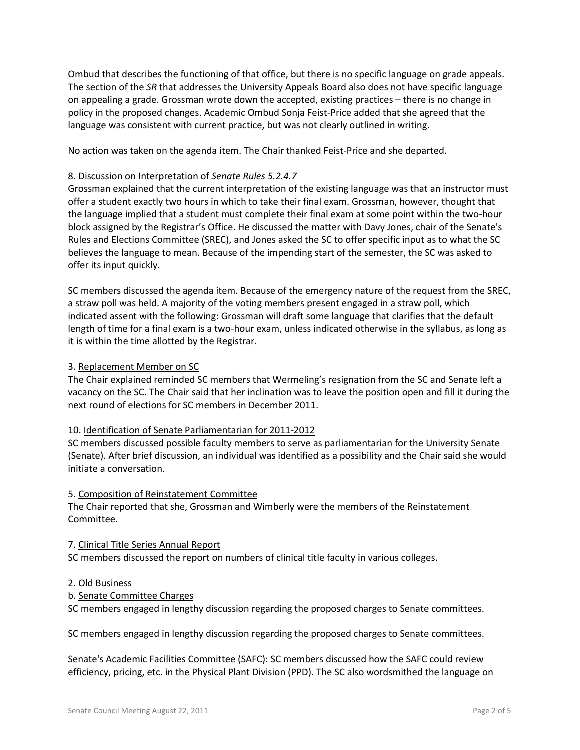Ombud that describes the functioning of that office, but there is no specific language on grade appeals. The section of the *SR* that addresses the University Appeals Board also does not have specific language on appealing a grade. Grossman wrote down the accepted, existing practices – there is no change in policy in the proposed changes. Academic Ombud Sonja Feist-Price added that she agreed that the language was consistent with current practice, but was not clearly outlined in writing.

No action was taken on the agenda item. The Chair thanked Feist-Price and she departed.

## 8. Discussion on Interpretation of *Senate Rules 5.2.4.7*

Grossman explained that the current interpretation of the existing language was that an instructor must offer a student exactly two hours in which to take their final exam. Grossman, however, thought that the language implied that a student must complete their final exam at some point within the two-hour block assigned by the Registrar's Office. He discussed the matter with Davy Jones, chair of the Senate's Rules and Elections Committee (SREC), and Jones asked the SC to offer specific input as to what the SC believes the language to mean. Because of the impending start of the semester, the SC was asked to offer its input quickly.

SC members discussed the agenda item. Because of the emergency nature of the request from the SREC, a straw poll was held. A majority of the voting members present engaged in a straw poll, which indicated assent with the following: Grossman will draft some language that clarifies that the default length of time for a final exam is a two-hour exam, unless indicated otherwise in the syllabus, as long as it is within the time allotted by the Registrar.

# 3. Replacement Member on SC

The Chair explained reminded SC members that Wermeling's resignation from the SC and Senate left a vacancy on the SC. The Chair said that her inclination was to leave the position open and fill it during the next round of elections for SC members in December 2011.

## 10. Identification of Senate Parliamentarian for 2011-2012

SC members discussed possible faculty members to serve as parliamentarian for the University Senate (Senate). After brief discussion, an individual was identified as a possibility and the Chair said she would initiate a conversation.

## 5. Composition of Reinstatement Committee

The Chair reported that she, Grossman and Wimberly were the members of the Reinstatement Committee.

## 7. Clinical Title Series Annual Report

SC members discussed the report on numbers of clinical title faculty in various colleges.

## 2. Old Business

b. Senate Committee Charges

SC members engaged in lengthy discussion regarding the proposed charges to Senate committees.

SC members engaged in lengthy discussion regarding the proposed charges to Senate committees.

Senate's Academic Facilities Committee (SAFC): SC members discussed how the SAFC could review efficiency, pricing, etc. in the Physical Plant Division (PPD). The SC also wordsmithed the language on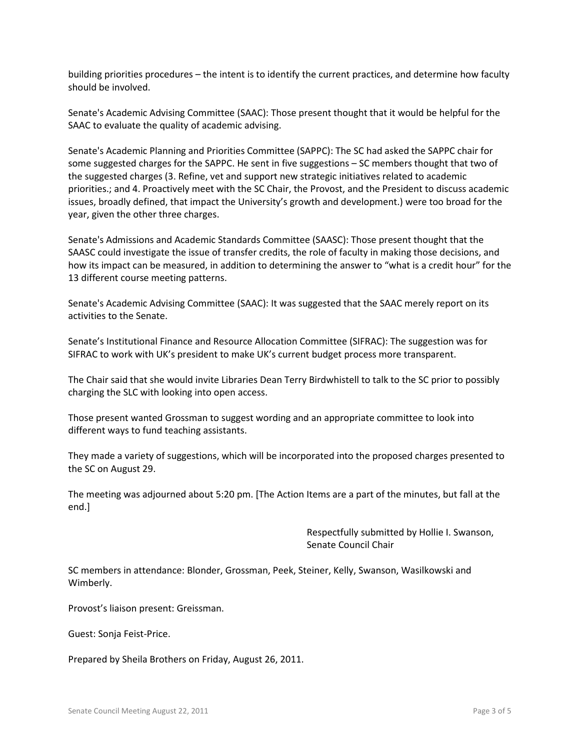building priorities procedures – the intent is to identify the current practices, and determine how faculty should be involved.

Senate's Academic Advising Committee (SAAC): Those present thought that it would be helpful for the SAAC to evaluate the quality of academic advising.

Senate's Academic Planning and Priorities Committee (SAPPC): The SC had asked the SAPPC chair for some suggested charges for the SAPPC. He sent in five suggestions – SC members thought that two of the suggested charges (3. Refine, vet and support new strategic initiatives related to academic priorities.; and 4. Proactively meet with the SC Chair, the Provost, and the President to discuss academic issues, broadly defined, that impact the University's growth and development.) were too broad for the year, given the other three charges.

Senate's Admissions and Academic Standards Committee (SAASC): Those present thought that the SAASC could investigate the issue of transfer credits, the role of faculty in making those decisions, and how its impact can be measured, in addition to determining the answer to "what is a credit hour" for the 13 different course meeting patterns.

Senate's Academic Advising Committee (SAAC): It was suggested that the SAAC merely report on its activities to the Senate.

Senate's Institutional Finance and Resource Allocation Committee (SIFRAC): The suggestion was for SIFRAC to work with UK's president to make UK's current budget process more transparent.

The Chair said that she would invite Libraries Dean Terry Birdwhistell to talk to the SC prior to possibly charging the SLC with looking into open access.

Those present wanted Grossman to suggest wording and an appropriate committee to look into different ways to fund teaching assistants.

They made a variety of suggestions, which will be incorporated into the proposed charges presented to the SC on August 29.

The meeting was adjourned about 5:20 pm. [The Action Items are a part of the minutes, but fall at the end.]

> Respectfully submitted by Hollie I. Swanson, Senate Council Chair

SC members in attendance: Blonder, Grossman, Peek, Steiner, Kelly, Swanson, Wasilkowski and Wimberly.

Provost's liaison present: Greissman.

Guest: Sonja Feist-Price.

Prepared by Sheila Brothers on Friday, August 26, 2011.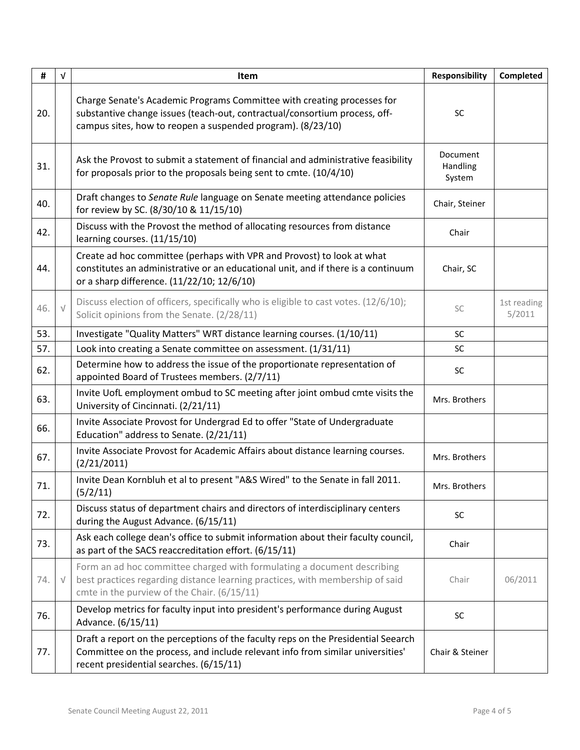| #   | $\sqrt{ }$ | <b>Item</b>                                                                                                                                                                                                          | <b>Responsibility</b>          | Completed             |
|-----|------------|----------------------------------------------------------------------------------------------------------------------------------------------------------------------------------------------------------------------|--------------------------------|-----------------------|
| 20. |            | Charge Senate's Academic Programs Committee with creating processes for<br>substantive change issues (teach-out, contractual/consortium process, off-<br>campus sites, how to reopen a suspended program). (8/23/10) | SC                             |                       |
| 31. |            | Ask the Provost to submit a statement of financial and administrative feasibility<br>for proposals prior to the proposals being sent to cmte. (10/4/10)                                                              | Document<br>Handling<br>System |                       |
| 40. |            | Draft changes to Senate Rule language on Senate meeting attendance policies<br>for review by SC. (8/30/10 & 11/15/10)                                                                                                | Chair, Steiner                 |                       |
| 42. |            | Discuss with the Provost the method of allocating resources from distance<br>learning courses. (11/15/10)                                                                                                            | Chair                          |                       |
| 44. |            | Create ad hoc committee (perhaps with VPR and Provost) to look at what<br>constitutes an administrative or an educational unit, and if there is a continuum<br>or a sharp difference. (11/22/10; 12/6/10)            | Chair, SC                      |                       |
| 46. |            | Discuss election of officers, specifically who is eligible to cast votes. (12/6/10);<br>Solicit opinions from the Senate. (2/28/11)                                                                                  | SC                             | 1st reading<br>5/2011 |
| 53. |            | Investigate "Quality Matters" WRT distance learning courses. (1/10/11)                                                                                                                                               | <b>SC</b>                      |                       |
| 57. |            | Look into creating a Senate committee on assessment. (1/31/11)                                                                                                                                                       | SC                             |                       |
| 62. |            | Determine how to address the issue of the proportionate representation of<br>appointed Board of Trustees members. (2/7/11)                                                                                           | SC                             |                       |
| 63. |            | Invite UofL employment ombud to SC meeting after joint ombud cmte visits the<br>University of Cincinnati. (2/21/11)                                                                                                  | Mrs. Brothers                  |                       |
| 66. |            | Invite Associate Provost for Undergrad Ed to offer "State of Undergraduate<br>Education" address to Senate. (2/21/11)                                                                                                |                                |                       |
| 67. |            | Invite Associate Provost for Academic Affairs about distance learning courses.<br>(2/21/2011)                                                                                                                        | Mrs. Brothers                  |                       |
| 71. |            | Invite Dean Kornbluh et al to present "A&S Wired" to the Senate in fall 2011.<br>(5/2/11)                                                                                                                            | Mrs. Brothers                  |                       |
| 72. |            | Discuss status of department chairs and directors of interdisciplinary centers<br>during the August Advance. (6/15/11)                                                                                               | SC                             |                       |
| 73. |            | Ask each college dean's office to submit information about their faculty council,<br>as part of the SACS reaccreditation effort. (6/15/11)                                                                           | Chair                          |                       |
| 74. | $\sqrt{}$  | Form an ad hoc committee charged with formulating a document describing<br>best practices regarding distance learning practices, with membership of said<br>cmte in the purview of the Chair. (6/15/11)              | Chair                          | 06/2011               |
| 76. |            | Develop metrics for faculty input into president's performance during August<br>Advance. (6/15/11)                                                                                                                   | SC                             |                       |
| 77. |            | Draft a report on the perceptions of the faculty reps on the Presidential Seearch<br>Committee on the process, and include relevant info from similar universities'<br>recent presidential searches. (6/15/11)       | Chair & Steiner                |                       |